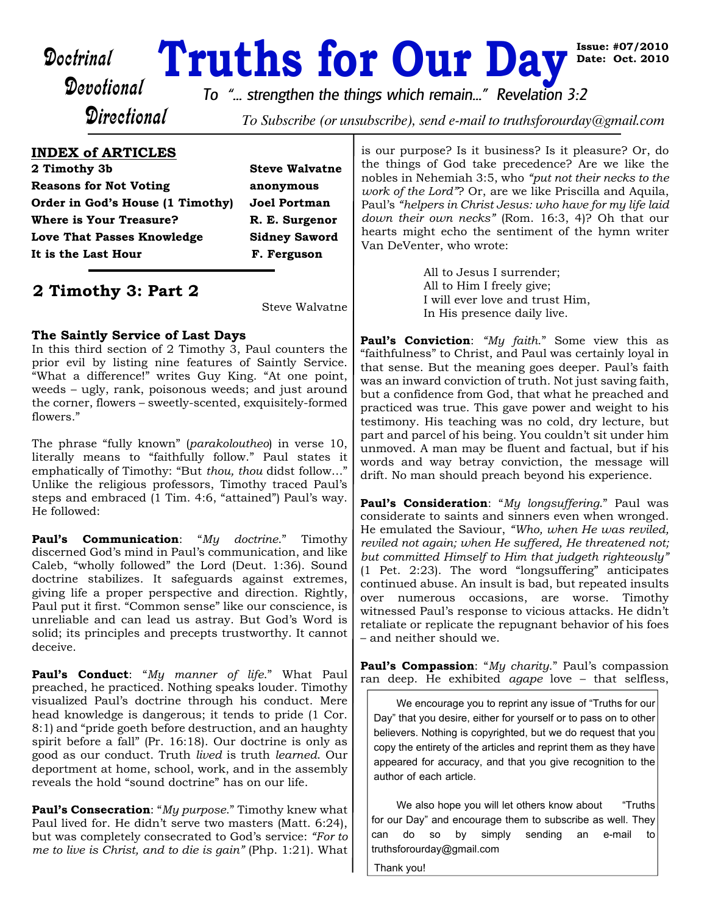**Doctrinal Truths for Our Day** is<br>Devotional *To "...* strengthen the things which remain..." Revelation 3:2

**Issue: #07/2010 Date: Oct. 2010**

**Directional** 

To Subscribe (or unsubscribe), send e-mail to truthsforourday@gmail.com

## **INDEX of ARTICLES**

**2 Timothy 3b Steve Walvatne Reasons for Not Voting anonymous Order in God's House (1 Timothy) Joel Portman Where is Your Treasure? R. E. Surgenor Love That Passes Knowledge Sidney Saword** It is the Last Hour F. Ferguson

# **2 Timothy 3: Part 2**

Steve Walvatne

### **The Saintly Service of Last Days**

In this third section of 2 Timothy 3, Paul counters the prior evil by listing nine features of Saintly Service. "What a difference!" writes Guy King. "At one point, weeds – ugly, rank, poisonous weeds; and just around the corner, flowers – sweetly-scented, exquisitely-formed flowers."

The phrase "fully known" (*parakoloutheo*) in verse 10, literally means to "faithfully follow." Paul states it emphatically of Timothy: "But *thou, thou* didst follow…" Unlike the religious professors, Timothy traced Paul's steps and embraced (1 Tim. 4:6, "attained") Paul's way. He followed:

**Paul's Communication**: "*My doctrine*." Timothy discerned God's mind in Paul's communication, and like Caleb, "wholly followed" the Lord (Deut. 1:36). Sound doctrine stabilizes. It safeguards against extremes, giving life a proper perspective and direction. Rightly, Paul put it first. "Common sense" like our conscience, is unreliable and can lead us astray. But God's Word is solid; its principles and precepts trustworthy. It cannot deceive.

**Paul's Conduct**: "*My manner of life*." What Paul preached, he practiced. Nothing speaks louder. Timothy visualized Paul's doctrine through his conduct. Mere head knowledge is dangerous; it tends to pride (1 Cor. 8:1) and "pride goeth before destruction, and an haughty spirit before a fall" (Pr. 16:18). Our doctrine is only as good as our conduct. Truth *lived* is truth *learned*. Our deportment at home, school, work, and in the assembly reveals the hold "sound doctrine" has on our life.

**Paul's Consecration**: "*My purpose*." Timothy knew what Paul lived for. He didn't serve two masters (Matt. 6:24), but was completely consecrated to God's service: *"For to me to live is Christ, and to die is gain"* (Php. 1:21). What is our purpose? Is it business? Is it pleasure? Or, do the things of God take precedence? Are we like the nobles in Nehemiah 3:5, who *"put not their necks to the work of the Lord"*? Or, are we like Priscilla and Aquila, Paul's *"helpers in Christ Jesus: who have for my life laid down their own necks"* (Rom. 16:3, 4)? Oh that our hearts might echo the sentiment of the hymn writer Van DeVenter, who wrote:

> All to Jesus I surrender; All to Him I freely give; I will ever love and trust Him, In His presence daily live.

**Paul's Conviction**: *"My faith*." Some view this as "faithfulness" to Christ, and Paul was certainly loyal in that sense. But the meaning goes deeper. Paul's faith was an inward conviction of truth. Not just saving faith, but a confidence from God, that what he preached and practiced was true. This gave power and weight to his testimony. His teaching was no cold, dry lecture, but part and parcel of his being. You couldn't sit under him unmoved. A man may be fluent and factual, but if his words and way betray conviction, the message will drift. No man should preach beyond his experience.

**Paul's Consideration**: "*My longsuffering*." Paul was considerate to saints and sinners even when wronged. He emulated the Saviour, *"Who, when He was reviled, reviled not again; when He suffered, He threatened not; but committed Himself to Him that judgeth righteously"* (1 Pet. 2:23). The word "longsuffering" anticipates continued abuse. An insult is bad, but repeated insults over numerous occasions, are worse. Timothy witnessed Paul's response to vicious attacks. He didn't retaliate or replicate the repugnant behavior of his foes – and neither should we.

**Paul's Compassion**: "*My charity*." Paul's compassion ran deep. He exhibited *agape* love – that selfless,

We encourage you to reprint any issue of "Truths for our Day" that you desire, either for yourself or to pass on to other believers. Nothing is copyrighted, but we do request that you copy the entirety of the articles and reprint them as they have appeared for accuracy, and that you give recognition to the author of each article.

We also hope you will let others know about "Truths for our Day" and encourage them to subscribe as well. They can do so by simply sending an e-mail to truthsforourday@gmail.com

Thank you!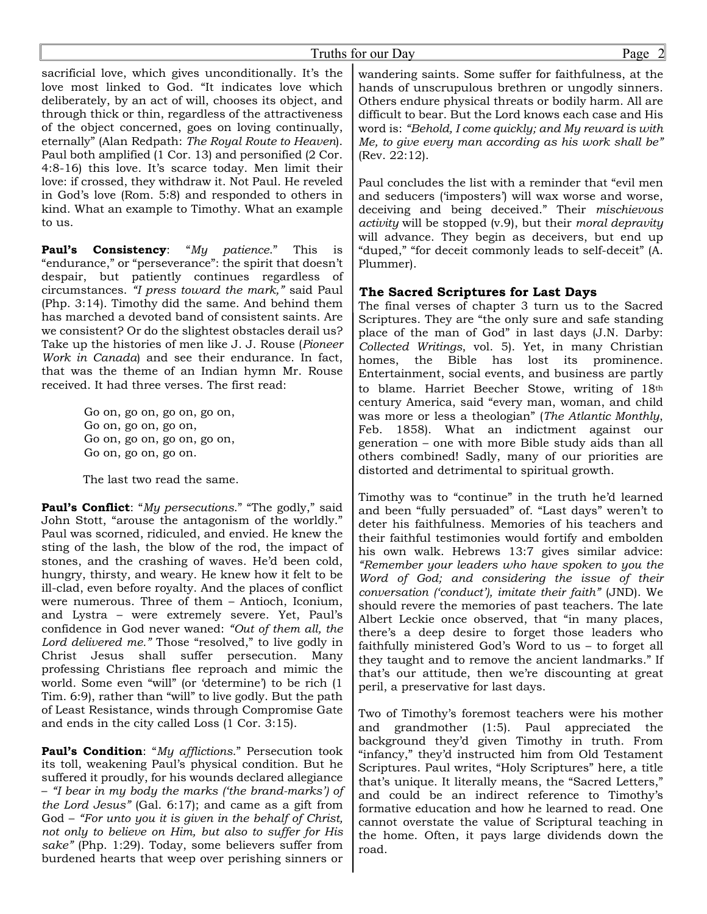#### Truths for our Day Page 2

sacrificial love, which gives unconditionally. It's the love most linked to God. "It indicates love which deliberately, by an act of will, chooses its object, and through thick or thin, regardless of the attractiveness of the object concerned, goes on loving continually, eternally" (Alan Redpath: *The Royal Route to Heaven*). Paul both amplified (1 Cor. 13) and personified (2 Cor. 4:8-16) this love. It's scarce today. Men limit their love: if crossed, they withdraw it. Not Paul. He reveled in God's love (Rom. 5:8) and responded to others in kind. What an example to Timothy. What an example to us.

**Paul's Consistency**: "*My patience*." This is "endurance," or "perseverance": the spirit that doesn't despair, but patiently continues regardless of circumstances. *"I press toward the mark,"* said Paul (Php. 3:14). Timothy did the same. And behind them has marched a devoted band of consistent saints. Are we consistent? Or do the slightest obstacles derail us? Take up the histories of men like J. J. Rouse (*Pioneer Work in Canada*) and see their endurance. In fact, that was the theme of an Indian hymn Mr. Rouse received. It had three verses. The first read:

> Go on, go on, go on, go on, Go on, go on, go on, Go on, go on, go on, go on, Go on, go on, go on.

> The last two read the same.

**Paul's Conflict**: "*My persecutions*." "The godly," said John Stott, "arouse the antagonism of the worldly." Paul was scorned, ridiculed, and envied. He knew the sting of the lash, the blow of the rod, the impact of stones, and the crashing of waves. He'd been cold, hungry, thirsty, and weary. He knew how it felt to be ill-clad, even before royalty. And the places of conflict were numerous. Three of them – Antioch, Iconium, and Lystra – were extremely severe. Yet, Paul's confidence in God never waned: *"Out of them all, the Lord delivered me."* Those "resolved," to live godly in Christ Jesus shall suffer persecution. Many professing Christians flee reproach and mimic the world. Some even "will" (or 'determine') to be rich (1 Tim. 6:9), rather than "will" to live godly. But the path of Least Resistance, winds through Compromise Gate and ends in the city called Loss (1 Cor. 3:15).

**Paul's Condition**: "*My afflictions*." Persecution took its toll, weakening Paul's physical condition. But he suffered it proudly, for his wounds declared allegiance – *"I bear in my body the marks ('the brand-marks') of the Lord Jesus"* (Gal. 6:17); and came as a gift from God – *"For unto you it is given in the behalf of Christ, not only to believe on Him, but also to suffer for His sake"* (Php. 1:29). Today, some believers suffer from burdened hearts that weep over perishing sinners or

wandering saints. Some suffer for faithfulness, at the hands of unscrupulous brethren or ungodly sinners. Others endure physical threats or bodily harm. All are difficult to bear. But the Lord knows each case and His word is: *"Behold, I come quickly; and My reward is with Me, to give every man according as his work shall be"* (Rev. 22:12).

Paul concludes the list with a reminder that "evil men and seducers ('imposters') will wax worse and worse, deceiving and being deceived." Their *mischievous activity* will be stopped (v.9), but their *moral depravity* will advance. They begin as deceivers, but end up "duped," "for deceit commonly leads to self-deceit" (A. Plummer).

### **The Sacred Scriptures for Last Days**

The final verses of chapter 3 turn us to the Sacred Scriptures. They are "the only sure and safe standing place of the man of God" in last days (J.N. Darby: *Collected Writings*, vol. 5). Yet, in many Christian homes, the Bible has lost its prominence. Entertainment, social events, and business are partly to blame. Harriet Beecher Stowe, writing of 18th century America, said "every man, woman, and child was more or less a theologian" (*The Atlantic Monthly*, Feb. 1858). What an indictment against our generation – one with more Bible study aids than all others combined! Sadly, many of our priorities are distorted and detrimental to spiritual growth.

Timothy was to "continue" in the truth he'd learned and been "fully persuaded" of. "Last days" weren't to deter his faithfulness. Memories of his teachers and their faithful testimonies would fortify and embolden his own walk. Hebrews 13:7 gives similar advice: *"Remember your leaders who have spoken to you the Word of God; and considering the issue of their conversation ('conduct'), imitate their faith"* (JND). We should revere the memories of past teachers. The late Albert Leckie once observed, that "in many places, there's a deep desire to forget those leaders who faithfully ministered God's Word to us – to forget all they taught and to remove the ancient landmarks." If that's our attitude, then we're discounting at great peril, a preservative for last days.

Two of Timothy's foremost teachers were his mother and grandmother (1:5). Paul appreciated the background they'd given Timothy in truth. From "infancy," they'd instructed him from Old Testament Scriptures. Paul writes, "Holy Scriptures" here, a title that's unique. It literally means, the "Sacred Letters," and could be an indirect reference to Timothy's formative education and how he learned to read. One cannot overstate the value of Scriptural teaching in the home. Often, it pays large dividends down the road.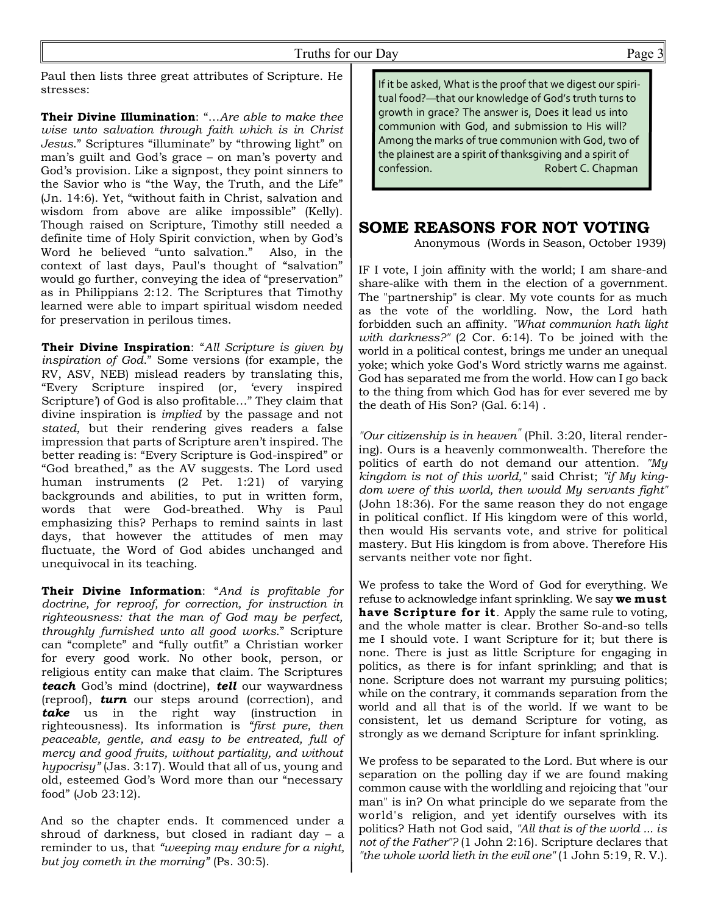Paul then lists three great attributes of Scripture. He stresses:

**Their Divine Illumination**: "…*Are able to make thee wise unto salvation through faith which is in Christ Jesus*." Scriptures "illuminate" by "throwing light" on man's guilt and God's grace – on man's poverty and God's provision. Like a signpost, they point sinners to the Savior who is "the Way, the Truth, and the Life" (Jn. 14:6). Yet, "without faith in Christ, salvation and wisdom from above are alike impossible" (Kelly). Though raised on Scripture, Timothy still needed a **SOME REASONS FOR NOT VOTING** definite time of Holy Spirit conviction, when by God's Word he believed "unto salvation." Also, in the context of last days, Paul's thought of "salvation" would go further, conveying the idea of "preservation" as in Philippians 2:12. The Scriptures that Timothy learned were able to impart spiritual wisdom needed for preservation in perilous times.

**Their Divine Inspiration**: "*All Scripture is given by inspiration of God*." Some versions (for example, the RV, ASV, NEB) mislead readers by translating this, "Every Scripture inspired (or, 'every inspired Scripture') of God is also profitable…" They claim that divine inspiration is *implied* by the passage and not *stated*, but their rendering gives readers a false impression that parts of Scripture aren't inspired. The better reading is: "Every Scripture is God-inspired" or "God breathed," as the AV suggests. The Lord used human instruments (2 Pet. 1:21) of varying backgrounds and abilities, to put in written form, words that were God-breathed. Why is Paul emphasizing this? Perhaps to remind saints in last days, that however the attitudes of men may fluctuate, the Word of God abides unchanged and unequivocal in its teaching.

**Their Divine Information**: "*And is profitable for doctrine, for reproof, for correction, for instruction in righteousness: that the man of God may be perfect, throughly furnished unto all good works*." Scripture can "complete" and "fully outfit" a Christian worker for every good work. No other book, person, or religious entity can make that claim. The Scriptures *teach* God's mind (doctrine), *tell* our waywardness (reproof), *turn* our steps around (correction), and *take* us in the right way (instruction in righteousness). Its information is *"first pure, then peaceable, gentle, and easy to be entreated, full of mercy and good fruits, without partiality, and without hypocrisy"* (Jas. 3:17). Would that all of us, young and old, esteemed God's Word more than our "necessary food" (Job 23:12).

And so the chapter ends. It commenced under a shroud of darkness, but closed in radiant day – a reminder to us, that *"weeping may endure for a night, but joy cometh in the morning"* (Ps. 30:5).

If it be asked, What is the proof that we digest our spiritual food?—that our knowledge of God's truth turns to growth in grace? The answer is, Does it lead us into communion with God, and submission to His will? Among the marks of true communion with God, two of the plainest are a spirit of thanksgiving and a spirit of confession. Robert C. Chapman

Anonymous (Words in Season, October 1939)

IF I vote, I join affinity with the world; I am share-and share-alike with them in the election of a government. The "partnership" is clear. My vote counts for as much as the vote of the worldling. Now, the Lord hath forbidden such an affinity. *"What communion hath light with darkness?"* (2 Cor. 6:14). To be joined with the world in a political contest, brings me under an unequal yoke; which yoke God's Word strictly warns me against. God has separated me from the world. How can I go back to the thing from which God has for ever severed me by the death of His Son? (Gal. 6:14) .

*"Our citizenship is in heaven"* (Phil. 3:20, literal rendering). Ours is a heavenly commonwealth. Therefore the politics of earth do not demand our attention. *"My kingdom is not of this world,"* said Christ; *"if My kingdom were of this world, then would My servants fight"* (John 18:36). For the same reason they do not engage in political conflict. If His kingdom were of this world, then would His servants vote, and strive for political mastery. But His kingdom is from above. Therefore His servants neither vote nor fight.

We profess to take the Word of God for everything. We refuse to acknowledge infant sprinkling. We say **we must have Scripture for it***.* Apply the same rule to voting, and the whole matter is clear. Brother So-and-so tells me I should vote. I want Scripture for it; but there is none. There is just as little Scripture for engaging in politics, as there is for infant sprinkling; and that is none. Scripture does not warrant my pursuing politics; while on the contrary, it commands separation from the world and all that is of the world. If we want to be consistent, let us demand Scripture for voting, as strongly as we demand Scripture for infant sprinkling.

We profess to be separated to the Lord. But where is our separation on the polling day if we are found making common cause with the worldling and rejoicing that "our man" is in? On what principle do we separate from the world's religion, and yet identify ourselves with its politics? Hath not God said, *"All that is of the world ... is not of the Father"?* (1 John 2:16). Scripture declares that *"the whole world lieth in the evil one"* (1 John 5:19, R. V.).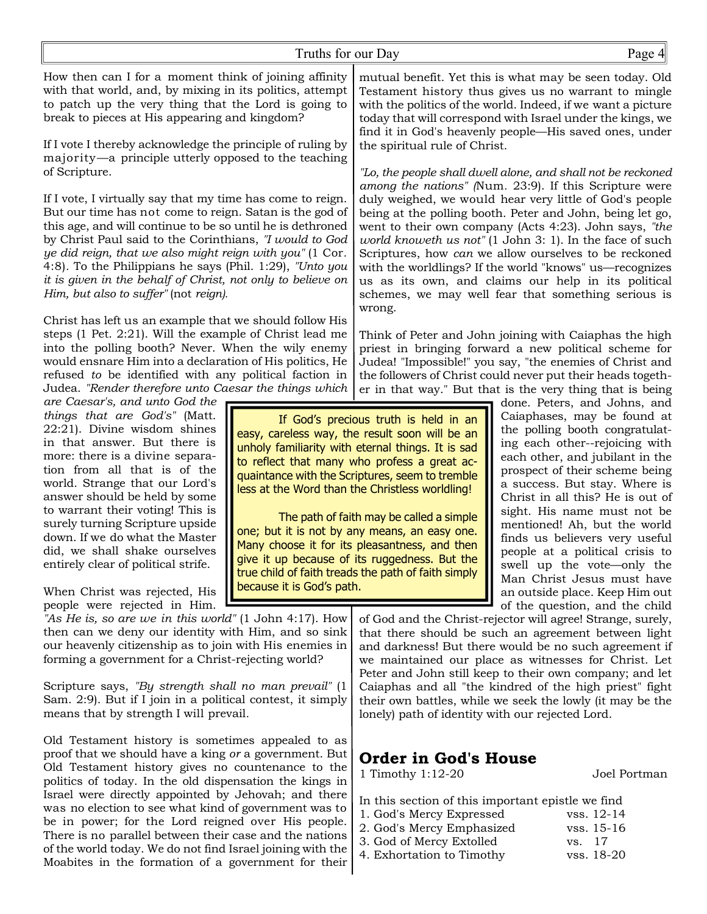How then can I for a moment think of joining affinity with that world, and, by mixing in its politics, attempt to patch up the very thing that the Lord is going to break to pieces at His appearing and kingdom?

If I vote I thereby acknowledge the principle of ruling by majority*—*a principle utterly opposed to the teaching of Scripture.

If I vote, I virtually say that my time has come to reign. But our time has not come to reign. Satan is the god of this age, and will continue to be so until he is dethroned by Christ Paul said to the Corinthians, *"I would to God ye did reign, that we also might reign with you"* (1 Cor*.* 4:8)*.* To the Philippians he says (Phil. 1:29), *"Unto you it is given in the behalf of Christ, not only to believe on Him, but also to suffer"* (not *reign).*

Christ has left us an example that we should follow His steps (1 Pet. 2:21). Will the example of Christ lead me into the polling booth? Never. When the wily enemy would ensnare Him into a declaration of His politics, He refused *to* be identified with any political faction in Judea. *"Render therefore unto Caesar the things which*

*are Caesar's, and unto God the things that are God's"* (Matt. 22:21). Divine wisdom shines in that answer. But there is more: there is a divine separation from all that is of the world. Strange that our Lord's answer should be held by some to warrant their voting! This is surely turning Scripture upside down. If we do what the Master did, we shall shake ourselves entirely clear of political strife.

When Christ was rejected, His people were rejected in Him.

*"As He is, so are we in this world"* (1 John 4:17). How then can we deny our identity with Him, and so sink our heavenly citizenship as to join with His enemies in forming a government for a Christ-rejecting world?

Scripture says, *"By strength shall no man prevail"* (1 Sam. 2:9). But if I join in a political contest, it simply means that by strength I will prevail*.*

Old Testament history is sometimes appealed to as proof that we should have a king *or* a government. But Old Testament history gives no countenance to the politics of today. In the old dispensation the kings in Israel were directly appointed by Jehovah; and there was no election to see what kind of government was to be in power; for the Lord reigned over His people. There is no parallel between their case and the nations of the world today. We do not find Israel joining with the Moabites in the formation of a government for their

mutual benefit. Yet this is what may be seen today. Old Testament history thus gives us no warrant to mingle with the politics of the world. Indeed, if we want a picture today that will correspond with Israel under the kings, we find it in God's heavenly people—His saved ones, under the spiritual rule of Christ.

*"Lo, the people shall dwell alone, and shall not be reckoned among the nations" (*Num*.* 23:9). If this Scripture were duly weighed, we would hear very little of God's people being at the polling booth. Peter and John, being let go, went to their own company (Acts 4:23). John says, *"the world knoweth us not"* (1 John 3: 1). In the face of such Scriptures, how *can* we allow ourselves to be reckoned with the worldlings? If the world "knows" us—recognizes us as its own, and claims our help in its political schemes, we may well fear that something serious is wrong.

Think of Peter and John joining with Caiaphas the high priest in bringing forward a new political scheme for Judea! "Impossible!" you say, "the enemies of Christ and the followers of Christ could never put their heads together in that way." But that is the very thing that is being

If God's precious truth is held in an easy, careless way, the result soon will be an unholy familiarity with eternal things. It is sad to reflect that many who profess a great acquaintance with the Scriptures, seem to tremble less at the Word than the Christless worldling!

The path of faith may be called a simple one; but it is not by any means, an easy one. Many choose it for its pleasantness, and then give it up because of its ruggedness. But the true child of faith treads the path of faith simply because it is God's path.

done. Peters, and Johns, and Caiaphases, may be found at the polling booth congratulating each other--rejoicing with each other, and jubilant in the prospect of their scheme being a success. But stay. Where is Christ in all this? He is out of sight. His name must not be mentioned! Ah, but the world finds us believers very useful people at a political crisis to swell up the vote—only the Man Christ Jesus must have an outside place. Keep Him out of the question, and the child

of God and the Christ-rejector will agree! Strange, surely, that there should be such an agreement between light and darkness! But there would be no such agreement if we maintained our place as witnesses for Christ. Let Peter and John still keep to their own company; and let Caiaphas and all "the kindred of the high priest" fight their own battles, while we seek the lowly (it may be the lonely) path of identity with our rejected Lord.

## **Order in God's House**

1 Timothy 1:12-20 Joel Portman

- In this section of this important epistle we find
- 1. God's Mercy Expressed vss. 12-14 2. God's Mercy Emphasized vss. 15-16 3. God of Mercy Extolled vs. 17
- 4. Exhortation to Timothy vss. 18-20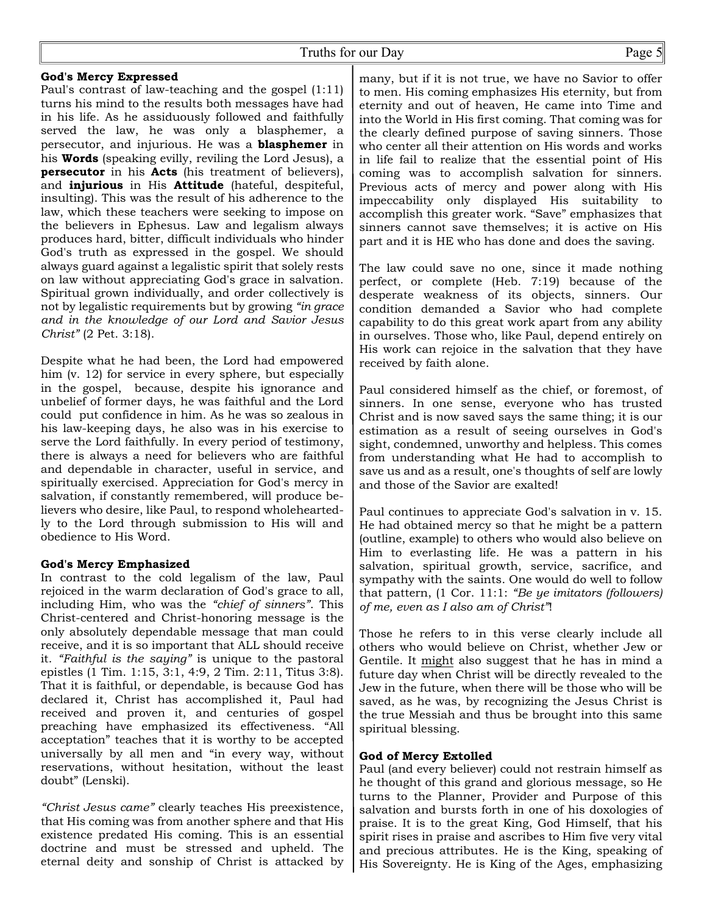#### **God's Mercy Expressed**

Paul's contrast of law-teaching and the gospel (1:11) turns his mind to the results both messages have had in his life. As he assiduously followed and faithfully served the law, he was only a blasphemer, a persecutor, and injurious. He was a **blasphemer** in his **Words** (speaking evilly, reviling the Lord Jesus), a **persecutor** in his **Acts** (his treatment of believers), and **injurious** in His **Attitude** (hateful, despiteful, insulting). This was the result of his adherence to the law, which these teachers were seeking to impose on the believers in Ephesus. Law and legalism always produces hard, bitter, difficult individuals who hinder God's truth as expressed in the gospel. We should always guard against a legalistic spirit that solely rests on law without appreciating God's grace in salvation. Spiritual grown individually, and order collectively is not by legalistic requirements but by growing *"in grace and in the knowledge of our Lord and Savior Jesus Christ"* (2 Pet. 3:18).

Despite what he had been, the Lord had empowered him (v. 12) for service in every sphere, but especially in the gospel, because, despite his ignorance and unbelief of former days, he was faithful and the Lord could put confidence in him. As he was so zealous in his law-keeping days, he also was in his exercise to serve the Lord faithfully. In every period of testimony, there is always a need for believers who are faithful and dependable in character, useful in service, and spiritually exercised. Appreciation for God's mercy in salvation, if constantly remembered, will produce believers who desire, like Paul, to respond wholeheartedly to the Lord through submission to His will and obedience to His Word.

### **God's Mercy Emphasized**

In contrast to the cold legalism of the law, Paul rejoiced in the warm declaration of God's grace to all, including Him, who was the *"chief of sinners"*. This Christ-centered and Christ-honoring message is the only absolutely dependable message that man could receive, and it is so important that ALL should receive it. *"Faithful is the saying"* is unique to the pastoral epistles (1 Tim. 1:15, 3:1, 4:9, 2 Tim. 2:11, Titus 3:8). That it is faithful, or dependable, is because God has declared it, Christ has accomplished it, Paul had received and proven it, and centuries of gospel preaching have emphasized its effectiveness. "All acceptation" teaches that it is worthy to be accepted universally by all men and "in every way, without reservations, without hesitation, without the least doubt" (Lenski).

*"Christ Jesus came"* clearly teaches His preexistence, that His coming was from another sphere and that His existence predated His coming. This is an essential doctrine and must be stressed and upheld. The eternal deity and sonship of Christ is attacked by

many, but if it is not true, we have no Savior to offer to men. His coming emphasizes His eternity, but from eternity and out of heaven, He came into Time and into the World in His first coming. That coming was for the clearly defined purpose of saving sinners. Those who center all their attention on His words and works in life fail to realize that the essential point of His coming was to accomplish salvation for sinners. Previous acts of mercy and power along with His impeccability only displayed His suitability to accomplish this greater work. "Save" emphasizes that sinners cannot save themselves; it is active on His part and it is HE who has done and does the saving.

The law could save no one, since it made nothing perfect, or complete (Heb. 7:19) because of the desperate weakness of its objects, sinners. Our condition demanded a Savior who had complete capability to do this great work apart from any ability in ourselves. Those who, like Paul, depend entirely on His work can rejoice in the salvation that they have received by faith alone.

Paul considered himself as the chief, or foremost, of sinners. In one sense, everyone who has trusted Christ and is now saved says the same thing; it is our estimation as a result of seeing ourselves in God's sight, condemned, unworthy and helpless. This comes from understanding what He had to accomplish to save us and as a result, one's thoughts of self are lowly and those of the Savior are exalted!

Paul continues to appreciate God's salvation in v. 15. He had obtained mercy so that he might be a pattern (outline, example) to others who would also believe on Him to everlasting life. He was a pattern in his salvation, spiritual growth, service, sacrifice, and sympathy with the saints. One would do well to follow that pattern, (1 Cor. 11:1: *"Be ye imitators (followers) of me, even as I also am of Christ"*!

Those he refers to in this verse clearly include all others who would believe on Christ, whether Jew or Gentile. It might also suggest that he has in mind a future day when Christ will be directly revealed to the Jew in the future, when there will be those who will be saved, as he was, by recognizing the Jesus Christ is the true Messiah and thus be brought into this same spiritual blessing.

### **God of Mercy Extolled**

Paul (and every believer) could not restrain himself as he thought of this grand and glorious message, so He turns to the Planner, Provider and Purpose of this salvation and bursts forth in one of his doxologies of praise. It is to the great King, God Himself, that his spirit rises in praise and ascribes to Him five very vital and precious attributes. He is the King, speaking of His Sovereignty. He is King of the Ages, emphasizing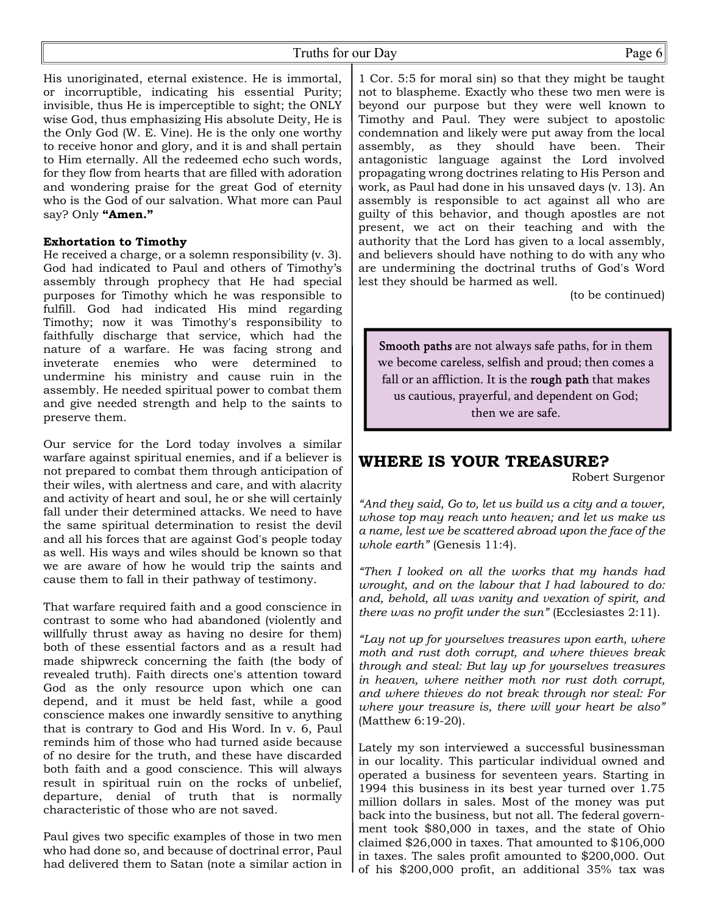Truths for our Day Page 6

His unoriginated, eternal existence. He is immortal, or incorruptible, indicating his essential Purity; invisible, thus He is imperceptible to sight; the ONLY wise God, thus emphasizing His absolute Deity, He is the Only God (W. E. Vine). He is the only one worthy to receive honor and glory, and it is and shall pertain to Him eternally. All the redeemed echo such words, for they flow from hearts that are filled with adoration and wondering praise for the great God of eternity who is the God of our salvation. What more can Paul say? Only **"Amen."**

#### **Exhortation to Timothy**

He received a charge, or a solemn responsibility (v. 3). God had indicated to Paul and others of Timothy's assembly through prophecy that He had special purposes for Timothy which he was responsible to fulfill. God had indicated His mind regarding Timothy; now it was Timothy's responsibility to faithfully discharge that service, which had the nature of a warfare. He was facing strong and inveterate enemies who were determined to undermine his ministry and cause ruin in the assembly. He needed spiritual power to combat them and give needed strength and help to the saints to preserve them.

Our service for the Lord today involves a similar warfare against spiritual enemies, and if a believer is not prepared to combat them through anticipation of their wiles, with alertness and care, and with alacrity and activity of heart and soul, he or she will certainly fall under their determined attacks. We need to have the same spiritual determination to resist the devil and all his forces that are against God's people today as well. His ways and wiles should be known so that we are aware of how he would trip the saints and cause them to fall in their pathway of testimony.

That warfare required faith and a good conscience in contrast to some who had abandoned (violently and willfully thrust away as having no desire for them) both of these essential factors and as a result had made shipwreck concerning the faith (the body of revealed truth). Faith directs one's attention toward God as the only resource upon which one can depend, and it must be held fast, while a good conscience makes one inwardly sensitive to anything that is contrary to God and His Word. In v. 6, Paul reminds him of those who had turned aside because of no desire for the truth, and these have discarded both faith and a good conscience. This will always result in spiritual ruin on the rocks of unbelief, departure, denial of truth that is normally characteristic of those who are not saved.

Paul gives two specific examples of those in two men who had done so, and because of doctrinal error, Paul had delivered them to Satan (note a similar action in

1 Cor. 5:5 for moral sin) so that they might be taught not to blaspheme. Exactly who these two men were is beyond our purpose but they were well known to Timothy and Paul. They were subject to apostolic condemnation and likely were put away from the local assembly, as they should have been. Their antagonistic language against the Lord involved propagating wrong doctrines relating to His Person and work, as Paul had done in his unsaved days (v. 13). An assembly is responsible to act against all who are guilty of this behavior, and though apostles are not present, we act on their teaching and with the authority that the Lord has given to a local assembly, and believers should have nothing to do with any who are undermining the doctrinal truths of God's Word lest they should be harmed as well.

(to be continued)

Smooth paths are not always safe paths, for in them we become careless, selfish and proud; then comes a fall or an affliction. It is the rough path that makes us cautious, prayerful, and dependent on God; then we are safe.

## **WHERE IS YOUR TREASURE?**

Robert Surgenor

*"And they said, Go to, let us build us a city and a tower, whose top may reach unto heaven; and let us make us a name, lest we be scattered abroad upon the face of the whole earth"* (Genesis 11:4).

*"Then I looked on all the works that my hands had wrought, and on the labour that I had laboured to do: and, behold, all was vanity and vexation of spirit, and there was no profit under the sun"* (Ecclesiastes 2:11).

*"Lay not up for yourselves treasures upon earth, where moth and rust doth corrupt, and where thieves break through and steal: But lay up for yourselves treasures in heaven, where neither moth nor rust doth corrupt, and where thieves do not break through nor steal: For where your treasure is, there will your heart be also"* (Matthew 6:19-20).

Lately my son interviewed a successful businessman in our locality. This particular individual owned and operated a business for seventeen years. Starting in 1994 this business in its best year turned over 1.75 million dollars in sales. Most of the money was put back into the business, but not all. The federal government took \$80,000 in taxes, and the state of Ohio claimed \$26,000 in taxes. That amounted to \$106,000 in taxes. The sales profit amounted to \$200,000. Out of his \$200,000 profit, an additional 35% tax was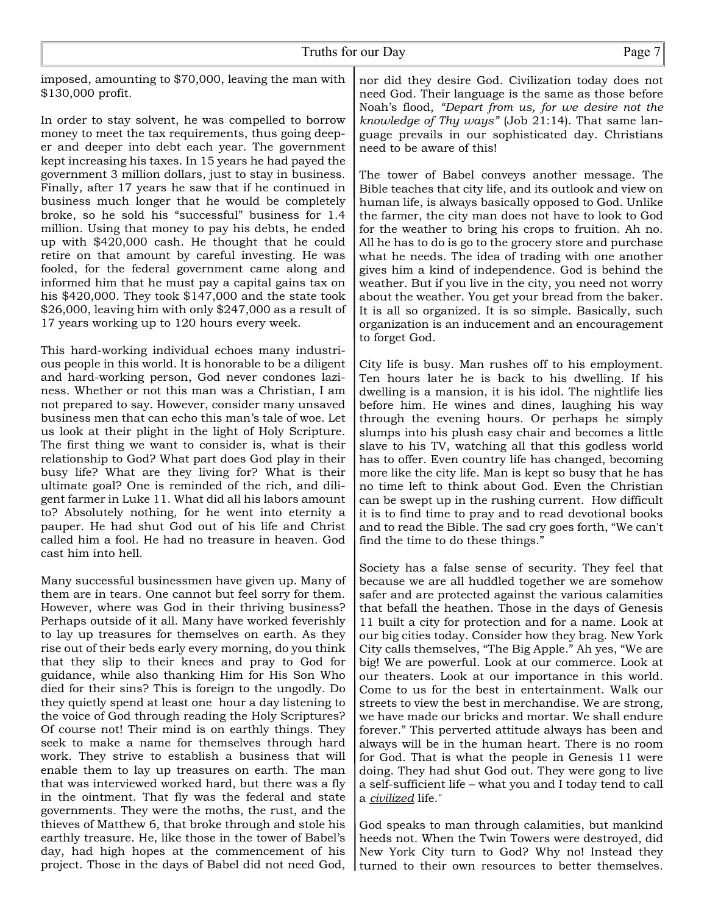imposed, amounting to \$70,000, leaving the man with \$130,000 profit.

In order to stay solvent, he was compelled to borrow money to meet the tax requirements, thus going deeper and deeper into debt each year. The government kept increasing his taxes. In 15 years he had payed the government 3 million dollars, just to stay in business. Finally, after 17 years he saw that if he continued in business much longer that he would be completely broke, so he sold his "successful" business for 1.4 million. Using that money to pay his debts, he ended up with \$420,000 cash. He thought that he could retire on that amount by careful investing. He was fooled, for the federal government came along and informed him that he must pay a capital gains tax on his \$420,000. They took \$147,000 and the state took \$26,000, leaving him with only \$247,000 as a result of 17 years working up to 120 hours every week.

This hard-working individual echoes many industrious people in this world. It is honorable to be a diligent and hard-working person, God never condones laziness. Whether or not this man was a Christian, I am not prepared to say. However, consider many unsaved business men that can echo this man's tale of woe. Let us look at their plight in the light of Holy Scripture. The first thing we want to consider is, what is their relationship to God? What part does God play in their busy life? What are they living for? What is their ultimate goal? One is reminded of the rich, and diligent farmer in Luke 11. What did all his labors amount to? Absolutely nothing, for he went into eternity a pauper. He had shut God out of his life and Christ called him a fool. He had no treasure in heaven. God cast him into hell.

Many successful businessmen have given up. Many of them are in tears. One cannot but feel sorry for them. However, where was God in their thriving business? Perhaps outside of it all. Many have worked feverishly to lay up treasures for themselves on earth. As they rise out of their beds early every morning, do you think that they slip to their knees and pray to God for guidance, while also thanking Him for His Son Who died for their sins? This is foreign to the ungodly. Do they quietly spend at least one hour a day listening to the voice of God through reading the Holy Scriptures? Of course not! Their mind is on earthly things. They seek to make a name for themselves through hard work. They strive to establish a business that will enable them to lay up treasures on earth. The man that was interviewed worked hard, but there was a fly in the ointment. That fly was the federal and state governments. They were the moths, the rust, and the thieves of Matthew 6, that broke through and stole his earthly treasure. He, like those in the tower of Babel's day, had high hopes at the commencement of his project. Those in the days of Babel did not need God,

nor did they desire God. Civilization today does not need God. Their language is the same as those before Noah's flood, *"Depart from us, for we desire not the knowledge of Thy ways"* (Job 21:14). That same language prevails in our sophisticated day. Christians need to be aware of this!

The tower of Babel conveys another message. The Bible teaches that city life, and its outlook and view on human life, is always basically opposed to God. Unlike the farmer, the city man does not have to look to God for the weather to bring his crops to fruition. Ah no. All he has to do is go to the grocery store and purchase what he needs. The idea of trading with one another gives him a kind of independence. God is behind the weather. But if you live in the city, you need not worry about the weather. You get your bread from the baker. It is all so organized. It is so simple. Basically, such organization is an inducement and an encouragement to forget God.

City life is busy. Man rushes off to his employment. Ten hours later he is back to his dwelling. If his dwelling is a mansion, it is his idol. The nightlife lies before him. He wines and dines, laughing his way through the evening hours. Or perhaps he simply slumps into his plush easy chair and becomes a little slave to his TV, watching all that this godless world has to offer. Even country life has changed, becoming more like the city life. Man is kept so busy that he has no time left to think about God. Even the Christian can be swept up in the rushing current. How difficult it is to find time to pray and to read devotional books and to read the Bible. The sad cry goes forth, "We can't find the time to do these things."

Society has a false sense of security. They feel that because we are all huddled together we are somehow safer and are protected against the various calamities that befall the heathen. Those in the days of Genesis 11 built a city for protection and for a name. Look at our big cities today. Consider how they brag. New York City calls themselves, "The Big Apple." Ah yes, "We are big! We are powerful. Look at our commerce. Look at our theaters. Look at our importance in this world. Come to us for the best in entertainment. Walk our streets to view the best in merchandise. We are strong, we have made our bricks and mortar. We shall endure forever." This perverted attitude always has been and always will be in the human heart. There is no room for God. That is what the people in Genesis 11 were doing. They had shut God out. They were gong to live a self-sufficient life – what you and I today tend to call a *civilized* life."

God speaks to man through calamities, but mankind heeds not. When the Twin Towers were destroyed, did New York City turn to God? Why no! Instead they turned to their own resources to better themselves.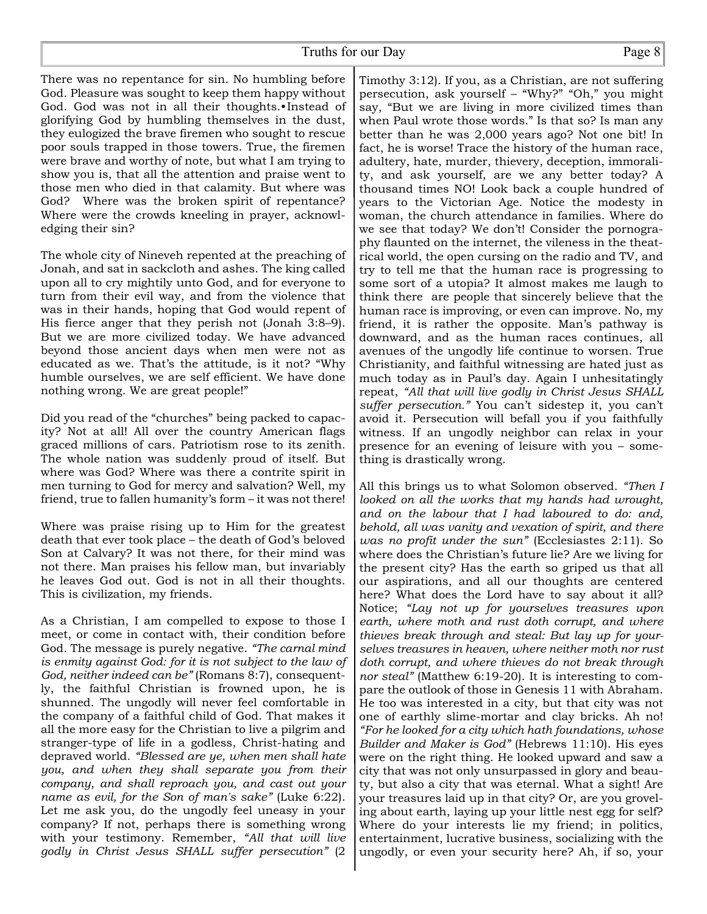There was no repentance for sin. No humbling before God. Pleasure was sought to keep them happy without God. God was not in all their thoughts.• Instead of glorifying God by humbling themselves in the dust, they eulogized the brave firemen who sought to rescue poor souls trapped in those towers. True, the firemen were brave and worthy of note, but what I am trying to show you is, that all the attention and praise went to those men who died in that calamity. But where was God? Where was the broken spirit of repentance? Where were the crowds kneeling in prayer, acknowledging their sin?

The whole city of Nineveh repented at the preaching of Jonah, and sat in sackcloth and ashes. The king called upon all to cry mightily unto God, and for everyone to turn from their evil way, and from the violence that was in their hands, hoping that God would repent of His fierce anger that they perish not (Jonah 3:8–9). But we are more civilized today. We have advanced beyond those ancient days when men were not as educated as we. That's the attitude, is it not? "Why humble ourselves, we are self efficient. We have done nothing wrong. We are great people!"

Did you read of the "churches" being packed to capacity? Not at all! All over the country American flags graced millions of cars. Patriotism rose to its zenith. The whole nation was suddenly proud of itself. But where was God? Where was there a contrite spirit in men turning to God for mercy and salvation? Well, my friend, true to fallen humanity's form – it was not there!

Where was praise rising up to Him for the greatest death that ever took place – the death of God's beloved Son at Calvary? It was not there, for their mind was not there. Man praises his fellow man, but invariably he leaves God out. God is not in all their thoughts. This is civilization, my friends.

As a Christian, I am compelled to expose to those I meet, or come in contact with, their condition before God. The message is purely negative. *"The carnal mind is enmity against God: for it is not subject to the law of God, neither indeed can be"* (Romans 8:7), consequently, the faithful Christian is frowned upon, he is shunned. The ungodly will never feel comfortable in the company of a faithful child of God. That makes it all the more easy for the Christian to live a pilgrim and stranger-type of life in a godless, Christ-hating and depraved world. *"Blessed are ye, when men shall hate you, and when they shall separate you from their company, and shall reproach you, and cast out your name as evil, for the Son of man's sake"* (Luke 6:22). Let me ask you, do the ungodly feel uneasy in your company? If not, perhaps there is something wrong with your testimony. Remember, *"All that will live godly in Christ Jesus SHALL suffer persecution"* (2

Timothy 3:12). If you, as a Christian, are not suffering persecution, ask yourself – "Why?" "Oh," you might say, "But we are living in more civilized times than when Paul wrote those words." Is that so? Is man any better than he was 2,000 years ago? Not one bit! In fact, he is worse! Trace the history of the human race, adultery, hate, murder, thievery, deception, immorality, and ask yourself, are we any better today? A thousand times NO! Look back a couple hundred of years to the Victorian Age. Notice the modesty in woman, the church attendance in families. Where do we see that today? We don't! Consider the pornography flaunted on the internet, the vileness in the theatrical world, the open cursing on the radio and TV, and try to tell me that the human race is progressing to some sort of a utopia? It almost makes me laugh to think there are people that sincerely believe that the human race is improving, or even can improve. No, my friend, it is rather the opposite. Man's pathway is downward, and as the human races continues, all avenues of the ungodly life continue to worsen. True Christianity, and faithful witnessing are hated just as much today as in Paul's day. Again I unhesitatingly repeat, *"All that will live godly in Christ Jesus SHALL suffer persecution."* You can't sidestep it, you can't avoid it. Persecution will befall you if you faithfully witness. If an ungodly neighbor can relax in your presence for an evening of leisure with you – something is drastically wrong.

All this brings us to what Solomon observed. *"Then I looked on all the works that my hands had wrought, and on the labour that I had laboured to do: and, behold, all was vanity and vexation of spirit, and there was no profit under the sun"* (Ecclesiastes 2:11). So where does the Christian's future lie? Are we living for the present city? Has the earth so griped us that all our aspirations, and all our thoughts are centered here? What does the Lord have to say about it all? Notice; *"Lay not up for yourselves treasures upon earth, where moth and rust doth corrupt, and where thieves break through and steal: But lay up for yourselves treasures in heaven, where neither moth nor rust doth corrupt, and where thieves do not break through nor steal"* (Matthew 6:19-20). It is interesting to compare the outlook of those in Genesis 11 with Abraham. He too was interested in a city, but that city was not one of earthly slime-mortar and clay bricks. Ah no! *"For he looked for a city which hath foundations, whose Builder and Maker is God"* (Hebrews 11:10). His eyes were on the right thing. He looked upward and saw a city that was not only unsurpassed in glory and beauty, but also a city that was eternal. What a sight! Are your treasures laid up in that city? Or, are you groveling about earth, laying up your little nest egg for self? Where do your interests lie my friend; in politics, entertainment, lucrative business, socializing with the ungodly, or even your security here? Ah, if so, your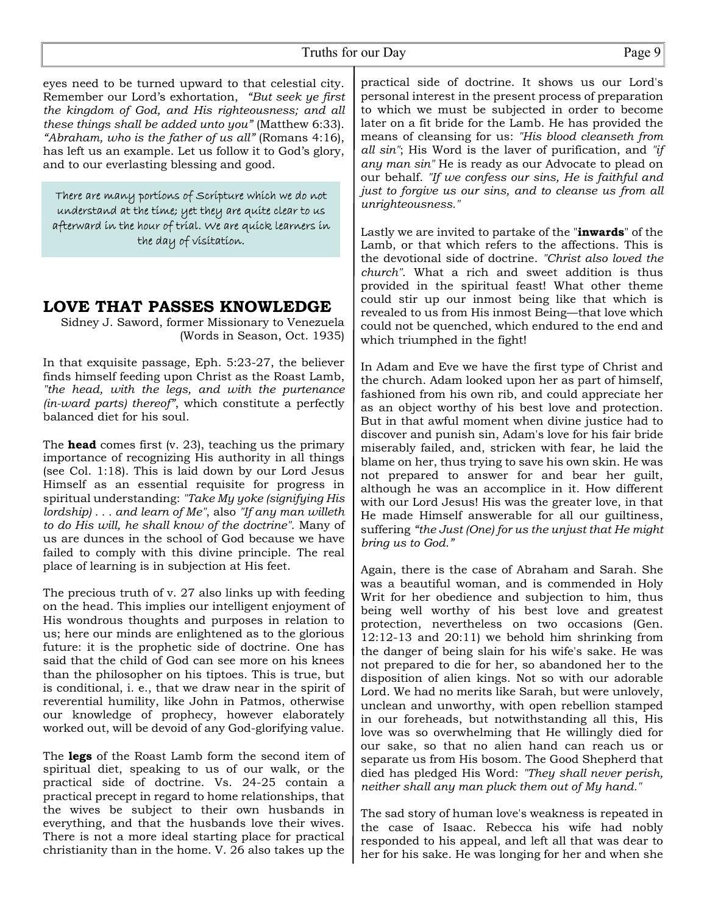eyes need to be turned upward to that celestial city. Remember our Lord's exhortation, *"But seek ye first the kingdom of God, and His righteousness; and all these things shall be added unto you"* (Matthew 6:33). *"Abraham, who is the father of us all"* (Romans 4:16), has left us an example. Let us follow it to God's glory, and to our everlasting blessing and good.

There are many portions of Scripture which we do not understand at the time; yet they are quite clear to us afterward in the hour of trial. We are quick learners in the day of visitation.

## **LOVE THAT PASSES KNOWLEDGE**

Sidney J. Saword, former Missionary to Venezuela (Words in Season, Oct. 1935)

In that exquisite passage, Eph. 5:23-27, the believer finds himself feeding upon Christ as the Roast Lamb, *"the head, with the legs, and with the purtenance (in-ward parts) thereof"*, which constitute a perfectly balanced diet for his soul.

The **head** comes first (v. 23), teaching us the primary importance of recognizing His authority in all things (see Col. 1:18). This is laid down by our Lord Jesus Himself as an essential requisite for progress in spiritual understanding: *"Take My yoke (signifying His lordship) . . . and learn of Me"*, also *"If any man willeth to do His will, he shall know of the doctrine"*. Many of us are dunces in the school of God because we have failed to comply with this divine principle. The real place of learning is in subjection at His feet.

The precious truth of v. 27 also links up with feeding on the head. This implies our intelligent enjoyment of His wondrous thoughts and purposes in relation to us; here our minds are enlightened as to the glorious future: it is the prophetic side of doctrine. One has said that the child of God can see more on his knees than the philosopher on his tiptoes. This is true, but is conditional, i. e., that we draw near in the spirit of reverential humility, like John in Patmos, otherwise our knowledge of prophecy, however elaborately worked out, will be devoid of any God-glorifying value.

The **legs** of the Roast Lamb form the second item of spiritual diet, speaking to us of our walk, or the practical side of doctrine. Vs. 24-25 contain a practical precept in regard to home relationships, that the wives be subject to their own husbands in everything, and that the husbands love their wives. There is not a more ideal starting place for practical christianity than in the home. V. 26 also takes up the

practical side of doctrine. It shows us our Lord's personal interest in the present process of preparation to which we must be subjected in order to become later on a fit bride for the Lamb. He has provided the means of cleansing for us: *"His blood cleanseth from all sin"*; His Word is the laver of purification, and *"if any man sin"* He is ready as our Advocate to plead on our behalf. *"If we confess our sins, He is faithful and just to forgive us our sins, and to cleanse us from all unrighteousness."*

Lastly we are invited to partake of the "**inwards**" of the Lamb, or that which refers to the affections. This is the devotional side of doctrine. *"Christ also loved the church"*. What a rich and sweet addition is thus provided in the spiritual feast! What other theme could stir up our inmost being like that which is revealed to us from His inmost Being—that love which could not be quenched, which endured to the end and which triumphed in the fight!

In Adam and Eve we have the first type of Christ and the church. Adam looked upon her as part of himself, fashioned from his own rib, and could appreciate her as an object worthy of his best love and protection. But in that awful moment when divine justice had to discover and punish sin, Adam's love for his fair bride miserably failed, and, stricken with fear, he laid the blame on her, thus trying to save his own skin. He was not prepared to answer for and bear her guilt, although he was an accomplice in it. How different with our Lord Jesus! His was the greater love, in that He made Himself answerable for all our guiltiness, suffering *"the Just (One) for us the unjust that He might bring us to God."*

Again, there is the case of Abraham and Sarah. She was a beautiful woman, and is commended in Holy Writ for her obedience and subjection to him, thus being well worthy of his best love and greatest protection, nevertheless on two occasions (Gen. 12:12-13 and 20:11) we behold him shrinking from the danger of being slain for his wife's sake. He was not prepared to die for her, so abandoned her to the disposition of alien kings. Not so with our adorable Lord. We had no merits like Sarah, but were unlovely, unclean and unworthy, with open rebellion stamped in our foreheads, but notwithstanding all this, His love was so overwhelming that He willingly died for our sake, so that no alien hand can reach us or separate us from His bosom. The Good Shepherd that died has pledged His Word: *"They shall never perish, neither shall any man pluck them out of My hand."*

The sad story of human love's weakness is repeated in the case of Isaac. Rebecca his wife had nobly responded to his appeal, and left all that was dear to her for his sake. He was longing for her and when she